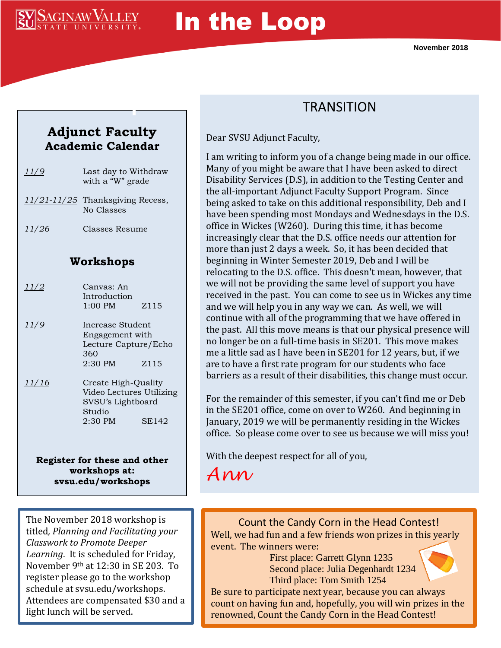

# In the Loop

**November 2018**

#### **Adjunct Faculty Academic Calendar**

| 11/9  | Last day to Withdraw<br>with a "W" grade           |  |  |
|-------|----------------------------------------------------|--|--|
|       | $11/21 - 11/25$ Thanksgiving Recess,<br>No Classes |  |  |
| 11/26 | Classes Resume                                     |  |  |
|       |                                                    |  |  |

#### **Workshops**

| 11/2  | Canvas: An<br>Introduction<br>$1:00$ PM                                                     | Z <sub>115</sub> |
|-------|---------------------------------------------------------------------------------------------|------------------|
| 11/9  | Increase Student<br>Engagement with<br>Lecture Capture/Echo<br>360<br>$2:30$ PM             | Z <sub>115</sub> |
| 11/16 | Create High-Quality<br>Video Lectures Utilizing<br>SVSU's Lightboard<br>Studio<br>$2:30$ PM | <b>SE142</b>     |

**Register for these and other workshops at: svsu.edu/workshops**

## **TRANSITION**

Dear SVSU Adjunct Faculty,

I am writing to inform you of a change being made in our office. Many of you might be aware that I have been asked to direct Disability Services (D.S), in addition to the Testing Center and the all-important Adjunct Faculty Support Program. Since being asked to take on this additional responsibility, Deb and I have been spending most Mondays and Wednesdays in the D.S. office in Wickes (W260). During this time, it has become increasingly clear that the D.S. office needs our attention for more than just 2 days a week. So, it has been decided that beginning in Winter Semester 2019, Deb and I will be relocating to the D.S. office. This doesn't mean, however, that we will not be providing the same level of support you have received in the past. You can come to see us in Wickes any time and we will help you in any way we can. As well, we will continue with all of the programming that we have offered in the past. All this move means is that our physical presence will no longer be on a full-time basis in SE201. This move makes me a little sad as I have been in SE201 for 12 years, but, if we are to have a first rate program for our students who face barriers as a result of their disabilities, this change must occur.

For the remainder of this semester, if you can't find me or Deb in the SE201 office, come on over to W260. And beginning in January, 2019 we will be permanently residing in the Wickes office. So please come over to see us because we will miss you!

With the deepest respect for all of you,

*Ann*

The November 2018 workshop is titled*, Planning and Facilitating your Classwork to Promote Deeper Learning*. It is scheduled for Friday, November 9th at 12:30 in SE 203. To register please go to the workshop schedule at svsu.edu/workshops. Attendees are compensated \$30 and a light lunch will be served.

Count the Candy Corn in the Head Contest! Well, we had fun and a few friends won prizes in this yearly event. The winners were:

First place: Garrett Glynn 1235 Second place: Julia Degenhardt 1234 Third place: Tom Smith 1254



Be sure to participate next year, because you can always count on having fun and, hopefully, you will win prizes in the renowned, Count the Candy Corn in the Head Contest!